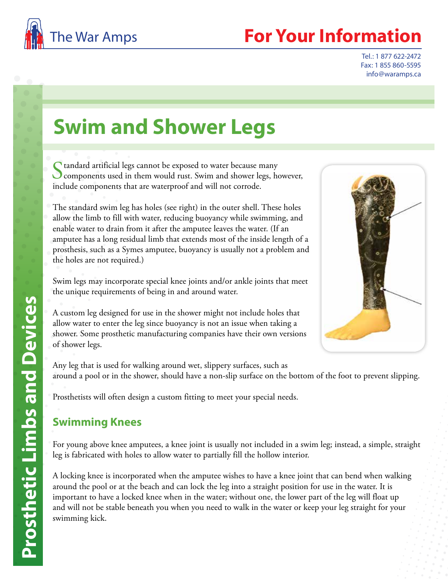

## **For Your Information**

Tel.: 1 877 622-2472 Fax: 1 855 860-5595 info@waramps.ca

# **Swim and Shower Legs**

 $\bigcap$  tandard artificial legs cannot be exposed to water because many components used in them would rust. Swim and shower legs, however, include components that are waterproof and will not corrode.

The standard swim leg has holes (see right) in the outer shell. These holes allow the limb to fill with water, reducing buoyancy while swimming, and enable water to drain from it after the amputee leaves the water. (If an amputee has a long residual limb that extends most of the inside length of a prosthesis, such as a Symes amputee, buoyancy is usually not a problem and the holes are not required.)

Swim legs may incorporate special knee joints and/or ankle joints that meet the unique requirements of being in and around water.

A custom leg designed for use in the shower might not include holes that allow water to enter the leg since buoyancy is not an issue when taking a shower. Some prosthetic manufacturing companies have their own versions of shower legs.



Any leg that is used for walking around wet, slippery surfaces, such as around a pool or in the shower, should have a non-slip surface on the bottom of the foot to prevent slipping.

Prosthetists will often design a custom fitting to meet your special needs.

### **Swimming Knees**

For young above knee amputees, a knee joint is usually not included in a swim leg; instead, a simple, straight leg is fabricated with holes to allow water to partially fill the hollow interior.

A locking knee is incorporated when the amputee wishes to have a knee joint that can bend when walking around the pool or at the beach and can lock the leg into a straight position for use in the water. It is important to have a locked knee when in the water; without one, the lower part of the leg will float up and will not be stable beneath you when you need to walk in the water or keep your leg straight for your swimming kick.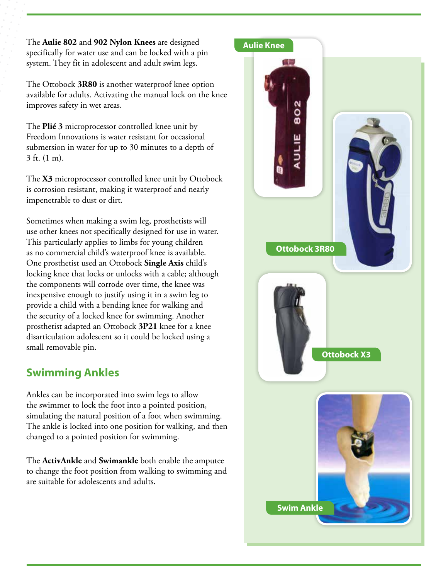The **Aulie 802** and **902 Nylon Knees** are designed specifically for water use and can be locked with a pin system. They fit in adolescent and adult swim legs.

The Ottobock **3R80** is another waterproof knee option available for adults. Activating the manual lock on the knee improves safety in wet areas.

The **Plié 3** microprocessor controlled knee unit by Freedom Innovations is water resistant for occasional submersion in water for up to 30 minutes to a depth of 3 ft. (1 m).

The **X3** microprocessor controlled knee unit by Ottobock is corrosion resistant, making it waterproof and nearly impenetrable to dust or dirt.

Sometimes when making a swim leg, prosthetists will use other knees not specifically designed for use in water. This particularly applies to limbs for young children as no commercial child's waterproof knee is available. One prosthetist used an Ottobock **Single Axis** child's locking knee that locks or unlocks with a cable; although the components will corrode over time, the knee was inexpensive enough to justify using it in a swim leg to provide a child with a bending knee for walking and the security of a locked knee for swimming. Another prosthetist adapted an Ottobock **3P21** knee for a knee disarticulation adolescent so it could be locked using a small removable pin.

### **Swimming Ankles**

Ankles can be incorporated into swim legs to allow the swimmer to lock the foot into a pointed position, simulating the natural position of a foot when swimming. The ankle is locked into one position for walking, and then changed to a pointed position for swimming.

The **ActivAnkle** and **Swimankle** both enable the amputee to change the foot position from walking to swimming and are suitable for adolescents and adults.

#### **Aulie Knee**